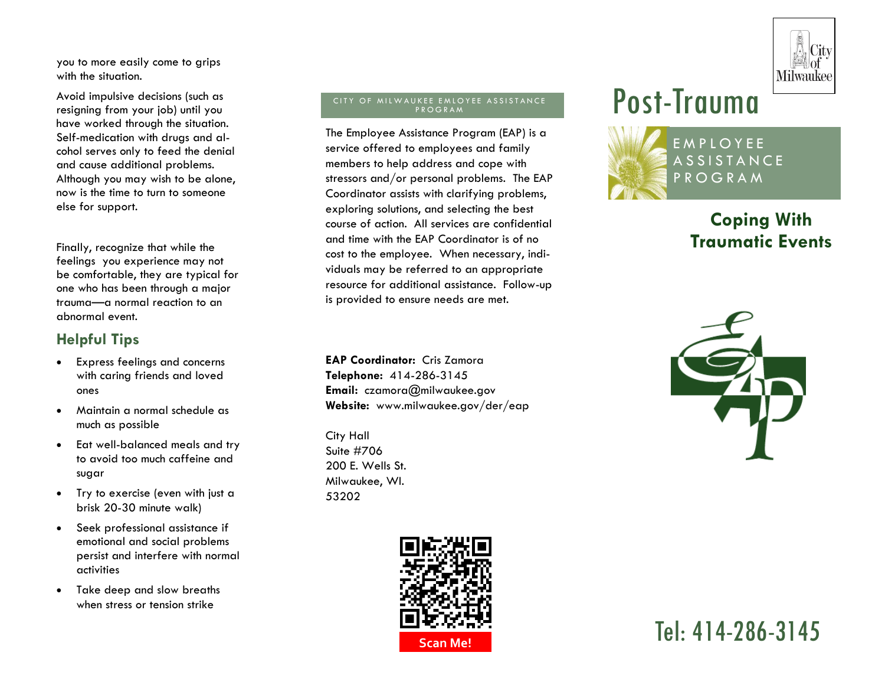

you to more easily come to grips with the situation.

Avoid impulsive decisions (such as resigning from your job) until you have worked through the situation. Self-medication with drugs and alcohol serves only to feed the denial and cause additional problems. Although you may wish to be alone, now is the time to turn to someone else for support.

Finally, recognize that while the feelings you experience may not be comfortable, they are typical for one who has been through a major trauma—a normal reaction to an abnormal event.

### **Helpful Tips**

- Express feelings and concerns with caring friends and loved ones
- Maintain a normal schedule as much as possible
- Eat well-balanced meals and try to avoid too much caffeine and sugar
- Try to exercise (even with just a brisk 20-30 minute walk)
- Seek professional assistance if emotional and social problems persist and interfere with normal activities
- Take deep and slow breaths when stress or tension strike

#### CITY OF MILWAUKEE EMLOYEE ASSISTANCE <sup>P</sup> <sup>R</sup> <sup>O</sup> <sup>G</sup> <sup>R</sup> <sup>A</sup> <sup>M</sup>

The Employee Assistance Program (EAP) is a service offered to employees and family members to help address and cope with stressors and/or personal problems. The EAP Coordinator assists with clarifying problems, exploring solutions, and selecting the best course of action. All services are confidential and time with the EAP Coordinator is of no cost to the employee. When necessary, individuals may be referred to an appropriate resource for additional assistance. Follow-up is provided to ensure needs are met.

**EAP Coordinator:** Cris Zamora **Telephone:** 414-286-3145 **Email:** czamora@milwaukee.gov **Website:** www.milwaukee.gov/der/eap

City Hall Suite #706 200 E. Wells St. Milwaukee, WI. 53202





# **Coping With Traumatic Events**



Tel: 414-286-3145